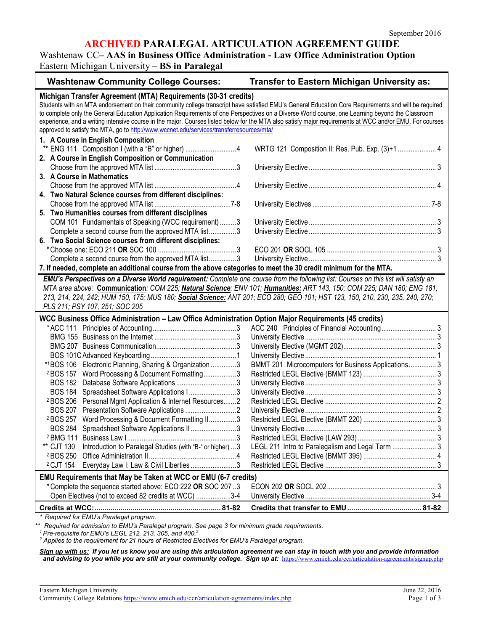## **ARCHIVED PARALEGAL ARTICULATION AGREEMENT GUIDE**

Washtenaw CC**– AAS in Business Office Administration - Law Office Administration Option** Eastern Michigan University – **BS in Paralegal**

| <b>Washtenaw Community College Courses:</b>                                                                                                              | <b>Transfer to Eastern Michigan University as:</b>  |  |  |
|----------------------------------------------------------------------------------------------------------------------------------------------------------|-----------------------------------------------------|--|--|
| Michigan Transfer Agreement (MTA) Requirements (30-31 credits)                                                                                           |                                                     |  |  |
| Students with an MTA endorsement on their community college transcript have satisfied EMU's General Education Core Requirements and will be required     |                                                     |  |  |
| to complete only the General Education Application Requirements of one Perspectives on a Diverse World course, one Learning beyond the Classroom         |                                                     |  |  |
| experience, and a writing intensive course in the major. Courses listed below for the MTA also satisfy major requirements at WCC and/or EMU. For courses |                                                     |  |  |
| approved to satisfy the MTA, go to http://www.wccnet.edu/services/transferresources/mta/                                                                 |                                                     |  |  |
| 1. A Course in English Composition                                                                                                                       |                                                     |  |  |
| ENG 111 Composition I (with a "B" or higher) 4                                                                                                           | WRTG 121 Composition II: Res. Pub. Exp. (3)+1  4    |  |  |
| 2. A Course in English Composition or Communication                                                                                                      |                                                     |  |  |
|                                                                                                                                                          |                                                     |  |  |
| 3. A Course in Mathematics                                                                                                                               |                                                     |  |  |
|                                                                                                                                                          |                                                     |  |  |
| 4. Two Natural Science courses from different disciplines:                                                                                               |                                                     |  |  |
|                                                                                                                                                          |                                                     |  |  |
| 5. Two Humanities courses from different disciplines                                                                                                     |                                                     |  |  |
| COM 101 Fundamentals of Speaking (WCC requirement) 3                                                                                                     |                                                     |  |  |
| Complete a second course from the approved MTA list3                                                                                                     |                                                     |  |  |
| 6. Two Social Science courses from different disciplines:                                                                                                |                                                     |  |  |
|                                                                                                                                                          |                                                     |  |  |
| Complete a second course from the approved MTA list3                                                                                                     |                                                     |  |  |
| 7. If needed, complete an additional course from the above categories to meet the 30 credit minimum for the MTA.                                         |                                                     |  |  |
| EMU's Perspectives on a Diverse World requirement: Complete one course from the following list: Courses on this list will satisfy an                     |                                                     |  |  |
| MTA area above: Communication: COM 225; Natural Science: ENV 101; Humanities: ART 143, 150; COM 225; DAN 180; ENG 181,                                   |                                                     |  |  |
| 213, 214, 224, 242; HUM 150, 175; MUS 180; Social Science: ANT 201; ECO 280; GEO 101; HST 123, 150, 210, 230, 235, 240, 270;                             |                                                     |  |  |
| PLS 211; PSY 107, 251; SOC 205                                                                                                                           |                                                     |  |  |
|                                                                                                                                                          |                                                     |  |  |
| WCC Business Office Administration - Law Office Administration Option Major Requirements (45 credits)                                                    |                                                     |  |  |
|                                                                                                                                                          |                                                     |  |  |
|                                                                                                                                                          |                                                     |  |  |
|                                                                                                                                                          |                                                     |  |  |
|                                                                                                                                                          |                                                     |  |  |
| *1BOS 106 Electronic Planning, Sharing & Organization 3                                                                                                  | BMMT 201 Microcomputers for Business Applications 3 |  |  |
| <sup>2</sup> BOS 157 Word Processing & Document Formatting3                                                                                              |                                                     |  |  |
|                                                                                                                                                          |                                                     |  |  |
| BOS 184 Spreadsheet Software Applications I3                                                                                                             |                                                     |  |  |
| <sup>2</sup> BOS 206 Personal Mgmt Application & Internet Resources 2                                                                                    |                                                     |  |  |
|                                                                                                                                                          |                                                     |  |  |
| <sup>2</sup> BOS 257 Word Processing & Document Formatting II3                                                                                           |                                                     |  |  |
| BOS 284 Spreadsheet Software Applications II 3                                                                                                           |                                                     |  |  |
|                                                                                                                                                          |                                                     |  |  |
| Introduction to Paralegal Studies (with "B-" or higher)  3<br>** CJT 130                                                                                 | LEGL 211 Intro to Paralegalism and Legal Term  3    |  |  |
| <sup>2</sup> BOS 250                                                                                                                                     |                                                     |  |  |
| Everyday Law I: Law & Civil Liberties 3<br><sup>2</sup> CJT 154                                                                                          |                                                     |  |  |
| EMU Requirements that May be Taken at WCC or EMU (6-7 credits)                                                                                           |                                                     |  |  |
| *Complete the sequence started above: ECO 222 OR SOC 207.3                                                                                               |                                                     |  |  |
| Open Electives (not to exceed 82 credits at WCC) 3-4                                                                                                     |                                                     |  |  |
|                                                                                                                                                          |                                                     |  |  |
| * Required for EMU's Paralegal program.                                                                                                                  |                                                     |  |  |

*\*\* Required for admission to EMU's Paralegal program. See page 3 for minimum grade requirements.*

*<sup>1</sup> Pre-requisite for EMU's LEGL 212, 213, 305, and 400.2*

*<sup>2</sup> Applies to the requirement for 21 hours of Restricted Electives for EMU's Paralegal program.*

*Sign up with us: If you let us know you are using this articulation agreement we can stay in touch with you and provide information*  and advising to you while you are still at your community college. Sign up at: <https://www.emich.edu/ccr/articulation-agreements/signup.php>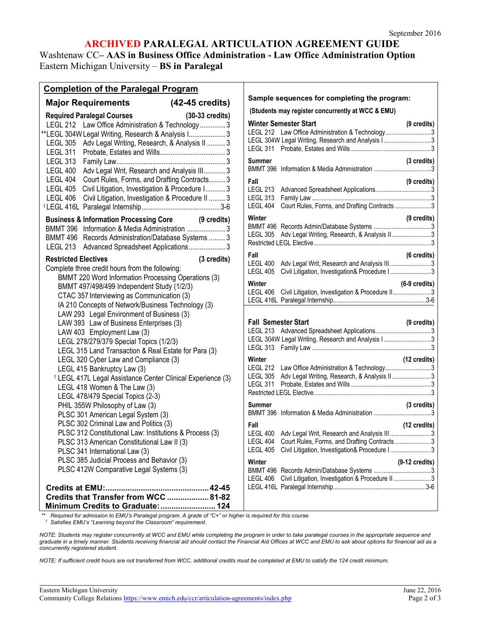# **ARCHIVED PARALEGAL ARTICULATION AGREEMENT GUIDE**

Washtenaw CC**– AAS in Business Office Administration - Law Office Administration Option** Eastern Michigan University – **BS in Paralegal**

### **Completion of the Paralegal Program**

|                                                                                      | <b>Major Requirements</b>                                                                                                                                                                                                                                                                                                                                                                                                                                                                                                                                                                                                                                                                                                                                                                                                                                                                                                                                                                                                                                        | (42-45 credits)           |             |
|--------------------------------------------------------------------------------------|------------------------------------------------------------------------------------------------------------------------------------------------------------------------------------------------------------------------------------------------------------------------------------------------------------------------------------------------------------------------------------------------------------------------------------------------------------------------------------------------------------------------------------------------------------------------------------------------------------------------------------------------------------------------------------------------------------------------------------------------------------------------------------------------------------------------------------------------------------------------------------------------------------------------------------------------------------------------------------------------------------------------------------------------------------------|---------------------------|-------------|
| <b>LEGL 305</b><br><b>LEGL 311</b><br>LEGL 404<br><b>LEGL 405</b><br><b>LEGL 406</b> | <b>Required Paralegal Courses</b><br>LEGL 212 Law Office Administration & Technology 3<br>**LEGL 304W Legal Writing, Research & Analysis I 3<br>Adv Legal Writing, Research, & Analysis II  3<br>LEGL 400 Adv Legal Writ, Research and Analysis III 3<br>Court Rules, Forms, and Drafting Contracts 3<br>Civil Litigation, Investigation & Procedure I 3<br>Civil Litigation, Investigation & Procedure II  3                                                                                                                                                                                                                                                                                                                                                                                                                                                                                                                                                                                                                                                    | $(30-33 \text{ credits})$ |             |
| <b>LEGL 213</b>                                                                      | <b>Business &amp; Information Processing Core</b><br>BMMT 396 Information & Media Administration 3<br>BMMT 496 Records Administration/Database Systems  3<br>Advanced Spreadsheet Applications 3                                                                                                                                                                                                                                                                                                                                                                                                                                                                                                                                                                                                                                                                                                                                                                                                                                                                 | (9 credits)               |             |
| <b>Restricted Electives</b>                                                          | Complete three credit hours from the following:<br>BMMT 220 Word Information Processing Operations (3)<br>BMMT 497/498/499 Independent Study (1/2/3)<br>CTAC 357 Interviewing as Communication (3)<br>IA 210 Concepts of Network/Business Technology (3)<br>LAW 293 Legal Environment of Business (3)<br>LAW 393 Law of Business Enterprises (3)<br>LAW 403 Employment Law (3)<br>LEGL 278/279/379 Special Topics (1/2/3)<br>LEGL 315 Land Transaction & Real Estate for Para (3)<br>LEGL 320 Cyber Law and Compliance (3)<br>LEGL 415 Bankruptcy Law (3)<br><sup>1</sup> LEGL 417L Legal Assistance Center Clinical Experience (3)<br>LEGL 418 Women & The Law (3)<br>LEGL 478/479 Special Topics (2-3)<br>PHIL 355W Philosophy of Law (3)<br>PLSC 301 American Legal System (3)<br>PLSC 302 Criminal Law and Politics (3)<br>PLSC 312 Constitutional Law: Institutions & Process (3)<br>PLSC 313 American Constitutional Law II (3)<br>PLSC 341 International Law (3)<br>PLSC 385 Judicial Process and Behavior (3)<br>PLSC 412W Comparative Legal Systems (3) |                           | (3 credits) |
|                                                                                      | Credits at EMU:<br>Credits that Transfer from WCC  81-82<br>Minimum Credits to Graduate:  124                                                                                                                                                                                                                                                                                                                                                                                                                                                                                                                                                                                                                                                                                                                                                                                                                                                                                                                                                                    |                           |             |

#### **Sample sequences for completing the program:**

**(Students may register concurrently at WCC & EMU)**

| <b>LEGL 311</b>                                                                    | <b>Winter Semester Start</b><br>LEGL 212 Law Office Administration & Technology3<br>LEGL 304W Legal Writing, Research and Analysis I3        | $(9 \text{ credits})$   |
|------------------------------------------------------------------------------------|----------------------------------------------------------------------------------------------------------------------------------------------|-------------------------|
| Summer<br>BMMT 396                                                                 |                                                                                                                                              | (3 credits)             |
| Fall<br><b>LEGL 213</b><br><b>LEGL 313</b><br><b>LEGL 404</b>                      | Court Rules, Forms, and Drafting Contracts 3                                                                                                 | (9 credits)             |
| Winter<br>LEGL 305                                                                 | Adv Legal Writing, Research, & Analysis II3                                                                                                  | (9 credits)             |
| Fall<br><b>LEGL 400</b><br><b>LEGL 405</b>                                         | Adv Legal Writ, Research and Analysis III 3<br>Civil Litigation, Investigation& Procedure I3                                                 | (6 credits)             |
| Winter<br>LEGL 406                                                                 | Civil Litigation, Investigation & Procedure II3                                                                                              | $(6-9 \text{ credits})$ |
|                                                                                    |                                                                                                                                              |                         |
| <b>Fall Semester Start</b><br>LEGL 213                                             | LEGL 304W Legal Writing, Research and Analysis I3                                                                                            | (9 credits)             |
| <b>LEGL 313</b><br>Winter<br><b>LEGL 212</b><br><b>LEGL 305</b><br><b>LEGL 311</b> | Law Office Administration & Technology3<br>Adv Legal Writing, Research, & Analysis II3                                                       | (12 credits)            |
| Summer<br><b>BMMT 396</b>                                                          |                                                                                                                                              | (3 credits)             |
| Fall<br>LEGL 400<br><b>LEGL 404</b><br>LEGL 405                                    | Adv Legal Writ, Research and Analysis III 3<br>Court Rules, Forms, and Drafting Contracts3<br>Civil Litigation, Investigation& Procedure I 3 | (12 credits)            |

\*\* Required for admission to EMU's Paralegal program. A grade of "C+" or higher is required for this course.<br><sup>1</sup> Satisfies EMU's "Learning beyond the Classroom" requirement.

*NOTE: Students may register concurrently at WCC and EMU while completing the program in order to take paralegal courses in the appropriate sequence and*  graduate in a timely manner. Students receiving financial aid should contact the Financial Aid Offices at WCC and EMU to ask about options for financial aid as a *concurrently registered student.*

*NOTE: If sufficient credit hours are not transferred from WCC, additional credits must be completed at EMU to satisfy the 124 credit minimum.*